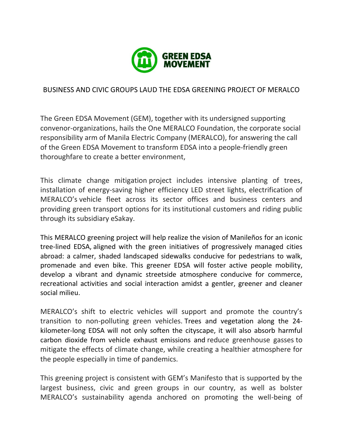

## BUSINESS AND CIVIC GROUPS LAUD THE EDSA GREENING PROJECT OF MERALCO

The Green EDSA Movement (GEM), together with its undersigned supporting convenor-organizations, hails the One MERALCO Foundation, the corporate social responsibility arm of Manila Electric Company (MERALCO), for answering the call of the Green EDSA Movement to transform EDSA into a people-friendly green thoroughfare to create a better environment,

This climate change mitigation project includes intensive planting of trees, installation of energy-saving higher efficiency LED street lights, electrification of MERALCO's vehicle fleet across its sector offices and business centers and providing green transport options for its institutional customers and riding public through its subsidiary eSakay.

This MERALCO greening project will help realize the vision of Manileños for an iconic tree-lined EDSA, aligned with the green initiatives of progressively managed cities abroad: a calmer, shaded landscaped sidewalks conducive for pedestrians to walk, promenade and even bike. This greener EDSA will foster active people mobility, develop a vibrant and dynamic streetside atmosphere conducive for commerce, recreational activities and social interaction amidst a gentler, greener and cleaner social milieu.

MERALCO's shift to electric vehicles will support and promote the country's transition to non-polluting green vehicles. Trees and vegetation along the 24 kilometer-long EDSA will not only soften the cityscape, it will also absorb harmful carbon dioxide from vehicle exhaust emissions and reduce greenhouse gasses to mitigate the effects of climate change, while creating a healthier atmosphere for the people especially in time of pandemics.

This greening project is consistent with GEM's Manifesto that is supported by the largest business, civic and green groups in our country, as well as bolster MERALCO's sustainability agenda anchored on promoting the well-being of